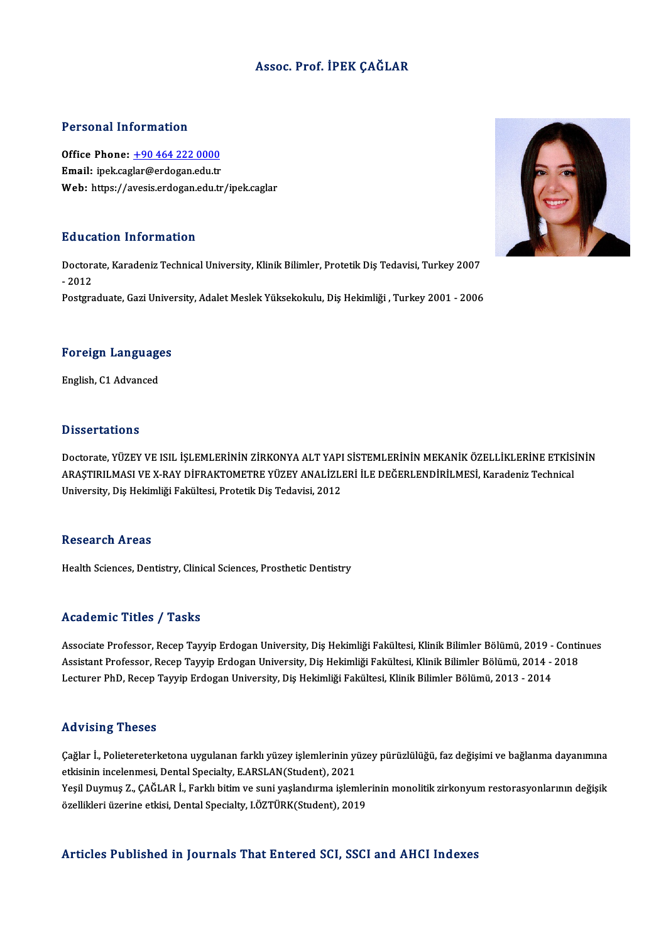### Assoc. Prof. İPEK ÇAĞLAR

### Personal Information

Personal Information<br>Office Phone: <u>+90 464 222 0000</u><br>Email: inck casks @ardesan edu.tr Processian and carrier and the Michael<br>Office Phone: <u>+90 464 222 0000</u><br>Email: ipek.cag[lar@erdogan.edu.tr](tel:+90 464 222 0000) Email: ipek.caglar@erdogan.edu.tr<br>Web: https://avesis.erdogan.edu.tr/ipek.caglar

### Education Information

Education Information<br>Doctorate, Karadeniz Technical University, Klinik Bilimler, Protetik Diş Tedavisi, Turkey 2007<br>2012 Dutted<br>Doctors<br>- 2012 Doctorate, Karadeniz Technical University, Klinik Bilimler, Protetik Diş Tedavisi, Turkey 2007<br>- 2012<br>Postgraduate, Gazi University, Adalet Meslek Yüksekokulu, Diş Hekimliği , Turkey 2001 - 2006

# Foreign Languages <mark>Foreign Languag</mark>e<br>English, C1 Advanced

English, C1 Advanced<br>Dissertations

Dissertations<br>Doctorate, YÜZEY VE ISIL İŞLEMLERİNİN ZİRKONYA ALT YAPI SİSTEMLERİNİN MEKANİK ÖZELLİKLERİNE ETKİSİNİN<br>ARASTIRILMASLVE V RAV DİFRAKTOMETRE YÜZEY ANALİZLERİ İLE DEĞERLENDİRI MESL Karadeniz Technical 2 ISSST LATISTIS<br>Doctorate, YÜZEY VE ISIL İŞLEMLERİNİN ZİRKONYA ALT YAPI SİSTEMLERİNİN MEKANİK ÖZELLİKLERİNE ETKİS<br>ARAŞTIRILMASI VE X-RAY DİFRAKTOMETRE YÜZEY ANALİZLERİ İLE DEĞERLENDİRİLMESİ, Karadeniz Technical<br>University Doctorate, YÜZEY VE ISIL İŞLEMLERİNİN ZİRKONYA ALT YAPI<br>ARAŞTIRILMASI VE X-RAY DİFRAKTOMETRE YÜZEY ANALİZLI<br>University, Diş Hekimliği Fakültesi, Protetik Diş Tedavisi, 2012 University, Diş Hekimliği Fakültesi, Protetik Diş Tedavisi, 2012<br>Research Areas

Health Sciences, Dentistry, Clinical Sciences, Prosthetic Dentistry

### Academic Titles / Tasks

Academic Titles / Tasks<br>Associate Professor, Recep Tayyip Erdogan University, Diş Hekimliği Fakültesi, Klinik Bilimler Bölümü, 2019 - Continues<br>Assistant Professor, Recep Tayyip Erdogan University, Diş Hekimliği Fakültesi, Associate Professor, Recep Tayyip Erdogan University, Diş Hekimliği Fakültesi, Klinik Bilimler Bölümü, 2019 - Conti<br>Assistant Professor, Recep Tayyip Erdogan University, Diş Hekimliği Fakültesi, Klinik Bilimler Bölümü, 201 Associate Professor, Recep Tayyip Erdogan University, Diş Hekimliği Fakültesi, Klinik Bilimler Bölümü, 2019 -<br>Assistant Professor, Recep Tayyip Erdogan University, Diş Hekimliği Fakültesi, Klinik Bilimler Bölümü, 2014 -<br>Le Lecturer PhD, Recep Tayyip Erdogan University, Diş Hekimliği Fakültesi, Klinik Bilimler Bölümü, 2013 - 2014<br>Advising Theses

Advising Theses<br>Çağlar İ., Polietereterketona uygulanan farklı yüzey işlemlerinin yüzey pürüzlülüğü, faz değişimi ve bağlanma dayanımına<br>Stirisinin ingelanmasi, Dantal Spesialty, EARSLAN(Student), 2021 eta vient<sub>i</sub>g "ricece"<br>Çağlar İ., Polietereterketona uygulanan farklı yüzey işlemlerinin yi<br>etkisinin incelenmesi, Dental Specialty, E.ARSLAN(Student), 2021<br>Yesil Duymus 7, CAČLAR İ. Farklı bitim ve suni yaşlandırma islam Çağlar İ., Polietereterketona uygulanan farklı yüzey işlemlerinin yüzey pürüzlülüğü, faz değişimi ve bağlanma dayanımına<br>etkisinin incelenmesi, Dental Specialty, E.ARSLAN(Student), 2021<br>Yeşil Duymuş Z., ÇAĞLAR İ., Farklı b

etkisinin incelenmesi, Dental Specialty, E.ARSLAN(Student), 2021<br>Yeşil Duymuş Z., ÇAĞLAR İ., Farklı bitim ve suni yaşlandırma işlemlerinin monolitik zirkonyum restorasyonlarının değişik<br>özellikleri üzerine etkisi, Dental S

### Articles Published in Journals That Entered SCI, SSCI and AHCI Indexes

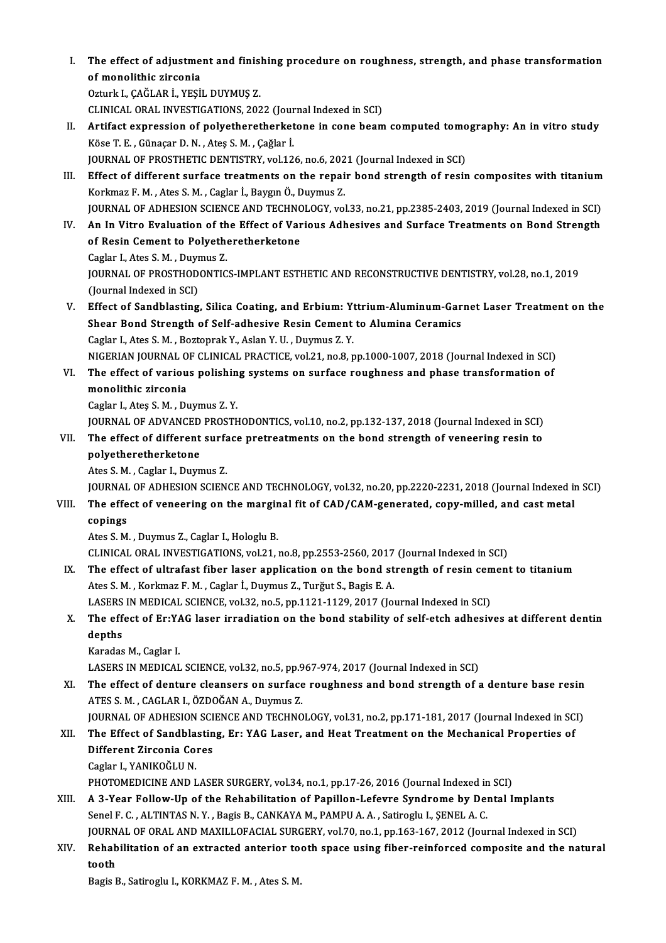I. The effect of adjustment and finishing procedure on roughness, strength, and phase transformation The effect of adjustme<br>of monolithic zirconia<br>Orturk L CAČLAR i ARSI of monolithic zirconia<br>Ozturk I., ÇAĞLAR İ., YEŞİL DUYMUŞ Z. of monolithic zirconia<br>Ozturk I., ÇAĞLAR İ., YEŞİL DUYMUŞ Z.<br>CLINICAL ORAL INVESTIGATIONS, 2022 (Journal Indexed in SCI)<br>Artifast aunression of nalyatbaratbarlatana in sona beam

- Ozturk I., ÇAĞLAR İ., YEŞİL DUYMUŞ Z.<br>CLINICAL ORAL INVESTIGATIONS, 2022 (Journal Indexed in SCI)<br>II. Artifact expression of polyetheretherketone in cone beam computed tomography: An in vitro study<br><sup>Köso T. E.</sup> Günes CLINICAL ORAL INVESTIGATIONS, 2022 (Journal Artifact expression of polyetheretherket<br>Köse T. E. , Günaçar D. N. , Ateş S. M. , Çağlar İ.<br>JOUPNAL OF PROSTHETIC DENTISTRY vel 12 Artifact expression of polyetheretherketone in cone beam computed tomo<br>Köse T. E. , Günaçar D. N. , Ateş S. M. , Çağlar İ.<br>JOURNAL OF PROSTHETIC DENTISTRY, vol.126, no.6, 2021 (Journal Indexed in SCI)<br>Effect of different s JOURNAL OF PROSTHETIC DENTISTRY, vol.126, no.6, 2021 (Journal Indexed in SCI)
- Köse T. E. , Günaçar D. N. , Ateş S. M. , Çağlar İ.<br>JOURNAL OF PROSTHETIC DENTISTRY, vol.126, no.6, 2021 (Journal Indexed in SCI)<br>III. Effect of different surface treatments on the repair bond strength of resin composites JOURNAL OF ADHESION SCIENCE AND TECHNOLOGY, vol.33, no.21, pp.2385-2403, 2019 (Journal Indexed in SCI)
- Korkmaz F. M. , Ates S. M. , Caglar İ., Baygın Ö., Duymus Z.<br>JOURNAL OF ADHESION SCIENCE AND TECHNOLOGY, vol.33, no.21, pp.2385-2403, 2019 (Journal Indexed in SCI)<br>IV. An In Vitro Evaluation of the Effect of Various Adhesi JOURNAL OF ADHESION SCIENCE AND TECHNO<br>An In Vitro Evaluation of the Effect of Var<br>of Resin Cement to Polyetheretherketone An In Vitro Evaluation of th<br>of Resin Cement to Polyeth<br>Caglar I., Ates S.M., Duymus Z.<br>JOUPMAL OF PROSTHODONTIC

of Resin Cement to Polyetheretherketone<br>Caglar I., Ates S. M. , Duymus Z.<br>JOURNAL OF PROSTHODONTICS-IMPLANT ESTHETIC AND RECONSTRUCTIVE DENTISTRY, vol.28, no.1, 2019<br>(Journal Indoved in SCD Caglar I., Ates S. M. , Duyr<br>JOURNAL OF PROSTHOD<br>(Journal Indexed in SCI)<br>Effect of Sandblasting JOURNAL OF PROSTHODONTICS-IMPLANT ESTHETIC AND RECONSTRUCTIVE DENTISTRY, vol.28, no.1, 2019<br>(Journal Indexed in SCI)<br>V. Effect of Sandblasting, Silica Coating, and Erbium: Yttrium-Aluminum-Garnet Laser Treatment on the<br>She

- (Journal Indexed in SCI)<br>Effect of Sandblasting, Silica Coating, and Erbium: Yttrium-Aluminum-Gar<br>Shear Bond Strength of Self-adhesive Resin Cement to Alumina Ceramics<br>Ceglar L.Ates S.M., Bertenrek Y. Aslan V.H., Durmus 7. Effect of Sandblasting, Silica Coating, and Erbium: Y<br>Shear Bond Strength of Self-adhesive Resin Cement<br>Caglar I., Ates S.M., Boztoprak Y., Aslan Y.U., Duymus Z.Y.<br>NICERIAN JOURNAL OF CLINICAL PRACTICE vol.21, no.9, r Shear Bond Strength of Self-adhesive Resin Cement to Alumina Ceramics<br>Caglar I., Ates S. M. , Boztoprak Y., Aslan Y. U. , Duymus Z. Y.<br>NIGERIAN JOURNAL OF CLINICAL PRACTICE, vol.21, no.8, pp.1000-1007, 2018 (Journal Indexe Caglar I., Ates S. M. , Boztoprak Y., Aslan Y. U. , Duymus Z. Y.<br>NIGERIAN JOURNAL OF CLINICAL PRACTICE, vol.21, no.8, pp.1000-1007, 2018 (Journal Indexed in SCI)<br>VI. The effect of various polishing systems on surface rough
- MIGERIAN JOURNAL O<br>The effect of variou<br>monolithic zirconia<br>Caglar L Ates S.M., D. The effect of various polishin<br>monolithic zirconia<br>Caglar I., Ateş S.M. , Duymus Z.Y.<br>JOUPMAL OF ADVANCED PROSTL monolithic zirconia<br>Caglar I., Ateş S. M. , Duymus Z. Y.<br>JOURNAL OF ADVANCED PROSTHODONTICS, vol.10, no.2, pp.132-137, 2018 (Journal Indexed in SCI)<br>The effect of different surface pretreatments on the bend strength of ven
	-

Caglar I., Ates S. M. , Duymus Z. Y.<br>JOURNAL OF ADVANCED PROSTHODONTICS, vol.10, no.2, pp.132-137, 2018 (Journal Indexed in SCI)<br>VII. The effect of different surface pretreatments on the bond strength of veneering resin to **JOURNAL OF ADVANCED<br>The effect of different<br>polyetheretherketone** VII. The effect of different surface pretreatments on the bond strength of veneering resin to polyetheretherketone<br>polyetheretherketone<br>Ates S. M., Caglar I., Duymus Z. polyetheretherketone<br>Ates S. M. , Caglar I., Duymus Z.<br>JOURNAL OF ADHESION SCIENCE AND TECHNOLOGY, vol.32, no.20, pp.2220-2231, 2018 (Journal Indexed in SCI)<br>The effect of veneoring on the marginal fit of CAD/CAM generated

## VIII. The effect of veneering on the marginal fit of CAD/CAM-generated, copy-milled, and cast metal copings JOURNAL<br>The effe<br>copings<br>Ates S.M

Ates S.M. ,Duymus Z.,Caglar I.,HologluB.

CLINICALORAL INVESTIGATIONS,vol.21,no.8,pp.2553-2560,2017 (Journal Indexed inSCI)

Ates S. M. , Duymus Z., Caglar I., Hologlu B.<br>CLINICAL ORAL INVESTIGATIONS, vol.21, no.8, pp.2553-2560, 2017 (Journal Indexed in SCI)<br>IX. The effect of ultrafast fiber laser application on the bond strength of resin cement CLINICAL ORAL INVESTIGATIONS, vol.21, no.8, pp.2553-2560, 2017<br>The effect of ultrafast fiber laser application on the bond st<br>Ates S. M. , Korkmaz F. M. , Caglar İ., Duymus Z., Turğut S., Bagis E. A.<br>LASERS IN MEDICAL SCIE The effect of ultrafast fiber laser application on the bond strength of resin cen<br>Ates S. M. , Korkmaz F. M. , Caglar I., Duymus Z., Turğut S., Bagis E. A.<br>LASERS IN MEDICAL SCIENCE, vol.32, no.5, pp.1121-1129, 2017 (Journ

## Ates S. M. , Korkmaz F. M. , Caglar İ., Duymus Z., Turğut S., Bagis E. A.<br>LASERS IN MEDICAL SCIENCE, vol.32, no.5, pp.1121-1129, 2017 (Journal Indexed in SCI)<br>X. The effect of Er:YAG laser irradiation on the bond stability LASERS IN MEDICAL SCIENCE, vol.32, no.5, pp.1121-1129, 2017 (Journal Indexed in SCI)<br>The effect of Er:YAG laser irradiation on the bond stability of self-etch adhesiv<br>depths<br>Karadas M., Caglar I. The effect of Er:Y*l*<br>depths<br>Karadas M., Caglar I.<br>LASERS IN MEDICAL depths<br>Karadas M., Caglar I.<br>LASERS IN MEDICAL SCIENCE, vol.32, no.5, pp.967-974, 2017 (Journal Indexed in SCI)<br>The effect of denture cleansers on surface reughness and hand strength of a

XI. The effect of denture cleansers on surface roughness and bond strength of a denture base resin LASERS IN MEDICAL SCIENCE, vol.32, no.5, pp.9<br>The effect of denture cleansers on surface<br>ATES S. M. , CAGLAR I., ÖZDOĞAN A., Duymus Z.<br>JOUPMAL OF ADHESION SCIENCE AND TECHNO The effect of denture cleansers on surface roughness and bond strength of a denture base resin<br>ATES S. M. , CAGLAR I., ÖZDOĞAN A., Duymus Z.<br>JOURNAL OF ADHESION SCIENCE AND TECHNOLOGY, vol.31, no.2, pp.171-181, 2017 (Journ

## ATES S. M. , CAGLAR I., ÖZDOĞAN A., Duymus Z.<br>JOURNAL OF ADHESION SCIENCE AND TECHNOLOGY, vol.31, no.2, pp.171-181, 2017 (Journal Indexed in SC<br>XII. The Effect of Sandblasting, Er: YAG Laser, and Heat Treatment on the **JOURNAL OF ADHESION SCI<br>The Effect of Sandblastin<br>Different Zirconia Cores<br>Corlar L YANIKOČLUN** The Effect of Sandbla<br>Different Zirconia Co:<br>Caglar I., YANIKOĞLU N.<br>PHOTOMEDICINE AND I Different Zirconia Cores<br>Caglar I., YANIKOĞLU N.<br>PHOTOMEDICINE AND LASER SURGERY, vol.34, no.1, pp.17-26, 2016 (Journal Indexed in SCI)

XIII. A 3-Year Follow-Up of the Rehabilitation of Papillon-Lefevre Syndrome by Dental Implants Senel F. C. , ALTINTAS N. Y. , Bagis B., CANKAYA M., PAMPU A. A. , Satiroglu I., ŞENEL A. C. A 3-Year Follow-Up of the Rehabilitation of Papillon-Lefevre Syndrome by Dental Implants<br>Senel F. C. , ALTINTAS N.Y. , Bagis B., CANKAYA M., PAMPU A. A. , Satiroglu I., ŞENEL A. C.<br>JOURNAL OF ORAL AND MAXILLOFACIAL SURGERY Senel F. C. , ALTINTAS N. Y. , Bagis B., CANKAYA M., PAMPU A. A. , Satiroglu I., ŞENEL A. C.<br>JOURNAL OF ORAL AND MAXILLOFACIAL SURGERY, vol.70, no.1, pp.163-167, 2012 (Journal Indexed in SCI)<br>XIV. Rehabilitation of an e

## JOURN<br><mark>Rehab</mark><br>tooth Rehabilitation of an extracted anterior tooth space using fiber-reinforced composite and the natural tooth<br>Bagis B., Satiroglu I., KORKMAZ F.M. , Ates S.M.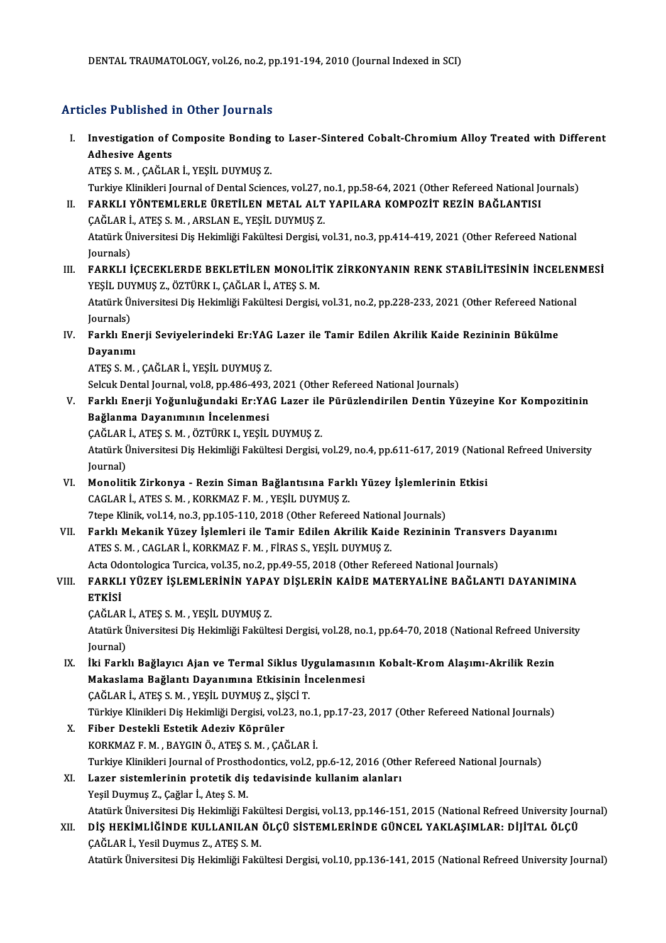### Articles Published in Other Journals

rticles Published in Other Journals<br>I. Investigation of Composite Bonding to Laser-Sintered Cobalt-Chromium Alloy Treated with Different<br>Adhesive Agents Adhesive Agents<br>Adhesive Agents<br>ATES S M CAČLA Adhesive Agents<br>ATEŞ S. M. , ÇAĞLAR İ., YEŞİL DUYMUŞ Z. Adhesive Agents<br>ATEŞ S. M. , ÇAĞLAR İ., YEŞİL DUYMUŞ Z.<br>Turkiye Klinikleri Journal of Dental Sciences, vol.27, no.1, pp.58-64, 2021 (Other Refereed National Journals)<br>RARKLI YÖNTEMLERLE ÜRETİLEN METAL ALT YARILARA KOMROZİT

- ATEŞ S. M. , ÇAĞLAR İ., YEŞİL DUYMUŞ Z.<br>Turkiye Klinikleri Journal of Dental Sciences, vol.27, no.1, pp.58-64, 2021 (Other Refereed National Journal<br>II. FARKLI YÖNTEMLERLE ÜRETİLEN METAL ALT YAPILARA KOMPOZİT REZİN BAĞ Turkiye Klinikleri Journal of Dental Sciences, vol.27, 1<br>FARKLI YÖNTEMLERLE ÜRETİLEN METAL ALT<br>ÇAĞLAR İ., ATEŞ S. M. , ARSLAN E., YEŞİL DUYMUŞ Z.<br>Atatürk Üniversitesi Dis Hekimliği Fekültesi Dengisi y FARKLI YÖNTEMLERLE ÜRETİLEN METAL ALT YAPILARA KOMPOZİT REZİN BAĞLANTISI<br>ÇAĞLAR İ., ATEŞ S. M. , ARSLAN E., YEŞİL DUYMUŞ Z.<br>Atatürk Üniversitesi Diş Hekimliği Fakültesi Dergisi, vol.31, no.3, pp.414-419, 2021 (Other Refere ÇAĞLAR İ.<br>Atatürk Ü<sub>l</sub><br>Journals)<br>EARKLLİ Atatürk Üniversitesi Diş Hekimliği Fakültesi Dergisi, vol.31, no.3, pp.414-419, 2021 (Other Refereed National<br>Journals)<br>III. FARKLI İÇECEKLERDE BEKLETİLEN MONOLİTİK ZİRKONYANIN RENK STABİLİTESİNİN İNCELENMESİ<br>VESLI DIIVMIS
- Journals)<br>FARKLI İÇECEKLERDE BEKLETİLEN MONOLİT<br>YEŞİL DUYMUŞ Z., ÖZTÜRK I., ÇAĞLAR İ., ATEŞ S. M.<br>Atatürk Üniversitesi Dis Hekimliği Fekültesi Dergisi FARKLI İÇECEKLERDE BEKLETİLEN MONOLİTİK ZİRKONYANIN RENK STABİLİTESİNİN İNCELEN<br>YEŞİL DUYMUŞ Z., ÖZTÜRK I., ÇAĞLAR İ., ATEŞ S. M.<br>Atatürk Üniversitesi Diş Hekimliği Fakültesi Dergisi, vol.31, no.2, pp.228-233, 2021 (Other

YEŞİL DU!<br>Atatürk Ü<sub>l</sub><br>Journals)<br>Ferklı En Atatürk Üniversitesi Diş Hekimliği Fakültesi Dergisi, vol.31, no.2, pp.228-233, 2021 (Other Refereed Natio<br>Journals)<br>IV. Farklı Enerji Seviyelerindeki Er:YAG Lazer ile Tamir Edilen Akrilik Kaide Rezininin Bükülme<br>Dovonum

Journals)<br>Farklı Ene<br>Dayanımı<br>ATES S.M Farklı Enerji Seviyelerindeki Er:YAG<br>Dayanımı<br>ATEŞ S. M. , ÇAĞLAR İ., YEŞİL DUYMUŞ Z.<br>Sekuk Dental Journal val 8. nn 486,493 Dayanımı<br>ATEŞ S. M. , ÇAĞLAR İ., YEŞİL DUYMUŞ Z.<br>Selcuk Dental Journal, vol.8, pp.486-493, 2021 (Other Refereed National Journals)<br>Farklı Enerii Yoğunluğundaki Er.YAC Javar ile Pürüzlendirilen Dentin Yü

ATEŞ S. M. , ÇAĞLAR İ., YEŞİL DUYMUŞ Z.<br>Selcuk Dental Journal, vol.8, pp.486-493, 2021 (Other Refereed National Journals)<br>V. Farklı Enerji Yoğunluğundaki Er:YAG Lazer ile Pürüzlendirilen Dentin Yüzeyine Kor Kompozitinin Selcuk Dental Journal, vol.8, pp.486-493,<br>Farklı Enerji Yoğunluğundaki Er:YA<br>Bağlanma Dayanımının İncelenmesi<br>CAĞLARİ ATES S.M. ÖZTÜRKL YESİL Farklı Enerji Yoğunluğundaki Er:YAG Lazer ile<br>Bağlanma Dayanımının İncelenmesi<br>ÇAĞLAR İ., ATEŞ S. M. , ÖZTÜRK I., YEŞİL DUYMUŞ Z.<br>Atatürk Üniversitesi Dis Hekimliği Fekültesi Dergisi 1

Bağlanma Dayanımının İncelenmesi<br>ÇAĞLAR İ., ATEŞ S. M. , ÖZTÜRK I., YEŞİL DUYMUŞ Z.<br>Atatürk Üniversitesi Diş Hekimliği Fakültesi Dergisi, vol.29, no.4, pp.611-617, 2019 (National Refreed University ÇAĞLAR<br>Atatürk İ<br>Journal)<br>Monoliti Atatürk Üniversitesi Diş Hekimliği Fakültesi Dergisi, vol.29, no.4, pp.611-617, 2019 (Natio<br>Journal)<br>VI. Monolitik Zirkonya - Rezin Siman Bağlantısına Farklı Yüzey İşlemlerinin Etkisi<br>GAGLARİ ATES S.M. KORKMAZ E.M. YESİL D

- Journal)<br>Monolitik Zirkonya Rezin Siman Bağlantısına Fark<br>CAGLAR İ., ATES S. M. , KORKMAZ F. M. , YEŞİL DUYMUŞ Z.<br>Ztana Klinik vol 14. no 2. nn 105-110-2018 (Othar Bafare Monolitik Zirkonya - Rezin Siman Bağlantısına Farklı Yüzey İşlemlerini<br>CAGLAR İ., ATES S. M. , KORKMAZ F. M. , YEŞİL DUYMUŞ Z.<br>7tepe Klinik, vol.14, no.3, pp.105-110, 2018 (Other Refereed National Journals)<br>Farklı Makanik
- CAGLAR İ., ATES S. M. , KORKMAZ F. M. , YEŞİL DUYMUŞ Z.<br>7tepe Klinik, vol.14, no.3, pp.105-110, 2018 (Other Refereed National Journals)<br>VII. Farklı Mekanik Yüzey İşlemleri ile Tamir Edilen Akrilik Kaide Rezininin Trans 7tepe Klinik, vol.14, no.3, pp.105-110, 2018 (Other Refereed Nation<br>Farklı Mekanik Yüzey İşlemleri ile Tamir Edilen Akrilik Kaid<br>ATES S.M. , CAGLAR İ., KORKMAZ F.M. , FİRAS S., YEŞİL DUYMUŞ Z. Farklı Mekanik Yüzey İşlemleri ile Tamir Edilen Akrilik Kaide Rezininin Transver<br>ATES S. M. , CAGLAR İ., KORKMAZ F. M. , FİRAS S., YEŞİL DUYMUŞ Z.<br>Acta Odontologica Turcica, vol.35, no.2, pp.49-55, 2018 (Other Refereed Nat

## ATES S. M. , CAGLAR İ., KORKMAZ F. M. , FİRAS S., YEŞİL DUYMUŞ Z.<br>Acta Odontologica Turcica, vol.35, no.2, pp.49-55, 2018 (Other Refereed National Journals)<br>VIII. FARKLI YÜZEY İŞLEMLERİNİN YAPAY DİŞLERİN KAİDE MATERYAL Acta Od<br>FARKL<br>ETKİSİ<br>GAĞLAI FARKLI YÜZEY İŞLEMLERİNİN YAPA<br>ETKİSİ<br>ÇAĞLAR İ., ATEŞ S. M. , YEŞİL DUYMUŞ Z.<br>Atatürk Üniversitesi Dis Hekimliği Fekült

ETKİSİ<br>ÇAĞLAR İ., ATEŞ S. M. , YEŞİL DUYMUŞ Z.<br>Atatürk Üniversitesi Diş Hekimliği Fakültesi Dergisi, vol.28, no.1, pp.64-70, 2018 (National Refreed University ÇAĞLAR<br>Atatürk İ<br>Journal)<br>İki Fark Atatürk Üniversitesi Diş Hekimliği Fakültesi Dergisi, vol.28, no.1, pp.64-70, 2018 (National Refreed Unive<br>Journal)<br>IX. İki Farklı Bağlayıcı Ajan ve Termal Siklus Uygulamasının Kobalt-Krom Alaşımı-Akrilik Rezin<br>Makaşlama B

- Journal)<br>İki Farklı Bağlayıcı Ajan ve Termal Siklus Uygulamasın<br>Makaslama Bağlantı Dayanımına Etkisinin İncelenmesi<br>CAĞLAR İ. ATES S.M., YESİL DIYMUS 7. SİSCİ T İki Farklı Bağlayıcı Ajan ve Termal Siklus Uy<br>Makaslama Bağlantı Dayanımına Etkisinin İı<br>ÇAĞLAR İ., ATEŞ S. M. , YEŞİL DUYMUŞ Z., ŞİŞCİ T.<br>Türkiye Klinikleri Diş Hakimliği Dergisi vel 22. ne Makaslama Bağlantı Dayanımına Etkisinin İncelenmesi<br>ÇAĞLAR İ., ATEŞ S. M. , YEŞİL DUYMUŞ Z., ŞİŞCİ T.<br>Türkiye Klinikleri Diş Hekimliği Dergisi, vol.23, no.1, pp.17-23, 2017 (Other Refereed National Journals)<br>Fiber Destekli
- ÇAĞLAR İ., ATEŞ S. M. , YEŞİL DUYMUŞ Z., ŞİŞCİ T.<br>Türkiye Klinikleri Diş Hekimliği Dergisi, vol.23, no.1,<br>X. Fiber Destekli Estetik Adeziv Köprüler<br>KORKMAZ F. M. , BAYGIN Ö., ATES S. M. , ÇAĞLAR İ. Türkiye Klinikleri Diş Hekimliği Dergisi, vol.23, no.1<br>Fiber Destekli Estetik Adeziv Köprüler<br>KORKMAZ F. M. , BAYGIN Ö., ATEŞ S. M. , ÇAĞLAR İ.<br>Turkiye Klinikleri Journal of Presthedentise vol 3-1 Turkiye Klinikleri Journal of Prosthodontics, vol.2, pp.6-12, 2016 (Other Refereed National Journals) KORKMAZ F. M., BAYGIN Ö., ATEŞ S. M., ÇAĞLAR İ.<br>Turkiye Klinikleri Journal of Prosthodontics, vol.2, pp.6-12, 2016 (Othen XI.<br>XI. Lazer sistemlerinin protetik diş tedavisinde kullanım alanları<br>Yosil Duymus Z. Çoğlan İ. Ate
- Turkiye Klinikleri Journal of Prostho<br>Lazer sistemlerinin protetik diş<br>Yeşil Duymuş Z., Çağlar İ., Ateş S. M.<br>Atetink Üniversitesi Diş Hokimliği E. Yeşil Duymuş Z., Çağlar İ., Ateş S. M.<br>Atatürk Üniversitesi Diş Hekimliği Fakültesi Dergisi, vol.13, pp.146-151, 2015 (National Refreed University Journal) Yeşil Duymuş Z., Çağlar İ., Ateş S. M.<br>Atatürk Üniversitesi Diş Hekimliği Fakültesi Dergisi, vol.13, pp.146-151, 2015 (National Refreed University Jo<br>CAČLAR İ. Yosil Duymuş 7. ATES S. M.
- Atatürk Üniversitesi Diş Hekimliği Fakü<br>DİŞ HEKİMLİĞİNDE KULLANILAN<br>ÇAĞLAR İ., Yesil Duymus Z., ATEŞ S. M.<br>Atatürk Üniversitesi Diş Hekimliği Fakü ÇAĞLAR İ., Yesil Duymus Z., ATEŞ S. M.<br>Atatürk Üniversitesi Diş Hekimliği Fakültesi Dergisi, vol.10, pp.136-141, 2015 (National Refreed University Journal)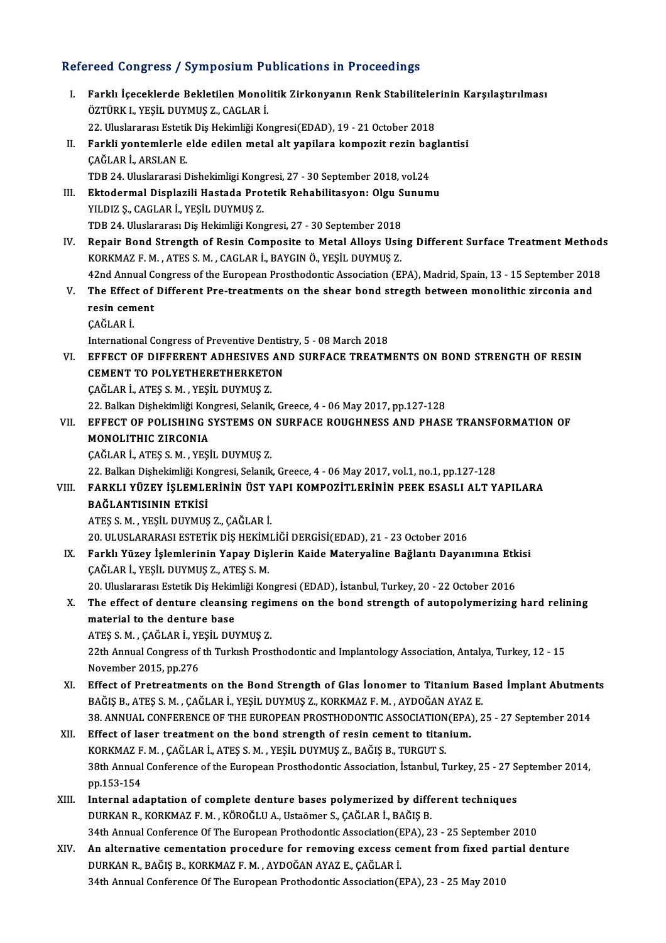### Refereed Congress / Symposium Publications in Proceedings

efereed Congress / Symposium Publications in Proceedings<br>I. Farklı İçeceklerde Bekletilen Monolitik Zirkonyanın Renk Stabilitelerinin Karşılaştırılması<br>Öztüpk i yesit puymus 7, CACLAR İ Farklı İçeceklerde Bekletilen Monol<br>ÖZTÜRK I., YEŞİL DUYMUŞ Z., CAGLAR İ.<br>22 Hivelererge Estatik Diş Hekimliği Ko Farklı İçeceklerde Bekletilen Monolitik Zirkonyanın Renk Stabiliteler<br>ÖZTÜRK I., YEŞİL DUYMUŞ Z., CAGLAR İ.<br>22. Uluslararası Estetik Diş Hekimliği Kongresi(EDAD), 19 - 21 October 2018<br>Farkli yantamlarla alda adilan matal a ÖZTÜRK I., YEŞİL DUYMUŞ Z., CAGLAR İ.<br>22. Uluslararası Estetik Diş Hekimliği Kongresi(EDAD), 19 - 21 October 2018<br>II. Farkli yontemlerle elde edilen metal alt yapilara kompozit rezin baglantisi<br>ÇAĞLAR İ., ARSLAN E. 22. Uluslararası Estetil<br>Farkli yontemlerle<br>ÇAĞLAR İ., ARSLAN E.<br>TDP 24. Uluslararası E TDB 24. Uluslararasi Dishekimligi Kongresi, 27 - 30 September 2018, vol.24 CAĞLAR İ., ARSLAN E.<br>II. Ektodermal Displazili Hastada Protetik Rehabilitasyon: Olgu Sunumu<br>III. Ektodermal Displazili Hastada Protetik Rehabilitasyon: Olgu Sunumu<br>VILDIZ S. CACLAR İ. VESİL DIRMIS Z TDB 24. Uluslararasi Dishekimligi Kong<br><mark>Ektodermal Displazili Hastada Pro</mark>t<br>YILDIZ Ş., CAGLAR İ., YEŞİL DUYMUŞ Z.<br>TDR 24. Uluslararası Diş Hakimliği Kon Ektodermal Displazili Hastada Protetik Rehabilitasyon: Olgu S<br>YILDIZ Ş., CAGLAR İ., YEŞİL DUYMUŞ Z.<br>TDB 24. Uluslararası Diş Hekimliği Kongresi, 27 - 30 September 2018<br>Banain Bond Stranath of Basin Comnasita ta Matal Allay IV. TIDIZ Ș., CAGLAR İ., YEŞİL DUYMUŞ Z.<br>IV. Repair Bond Strength of Resin Composite to Metal Alloys Using Different Surface Treatment Methods<br>KORKMAZ F. M. , ATES S. M. , CAGLAR İ., BAYGIN Ö., YEŞİL DUYMUŞ Z. TDB 24. Uluslararası Diş Hekimliği Kongresi, 27 - 30 September 2018 Repair Bond Strength of Resin Composite to Metal Alloys Using Different Surface Treatment Method:<br>KORKMAZ F. M. , ATES S. M. , CAGLAR İ., BAYGIN Ö., YEŞİL DUYMUŞ Z.<br>42nd Annual Congress of the European Prosthodontic Associ KORKMAZ F. M. , ATES S. M. , CAGLAR İ., BAYGIN Ö., YEŞİL DUYMUŞ Z.<br>42nd Annual Congress of the European Prosthodontic Association (EPA), Madrid, Spain, 13 - 15 September 201:<br>7. The Effect of Different Pre-treatments on th **42nd Annual C<br>The Effect of<br>resin cement**<br>CAČI AP İ V. The Effect of Different Pre-treatments on the shear bond stregth between monolithic zirconia and resin cement<br>resin cement<br>CAĞLAR İ. resin cement<br>ÇAĞLAR İ.<br>International Congress of Preventive Dentistry, 5 - 08 March 2018<br>EEEECT OF DIEFERENT ADHESIVES AND SURFACE TREATM CAĞLAR İ.<br>International Congress of Preventive Dentistry, 5 - 08 March 2018<br>VI. EFFECT OF DIFFERENT ADHESIVES AND SURFACE TREATMENTS ON BOND STRENGTH OF RESIN<br>CEMENT TO POLYETHERETHERKETON International Congress of Preventive Dentist<br>EFFECT OF DIFFERENT ADHESIVES AN<br>CEMENT TO POLYETHERETHERKETON EFFECT OF DIFFERENT ADHESIVES<br>CEMENT TO POLYETHERETHERKETC<br>ÇAĞLAR İ., ATEŞ S. M. , YEŞİL DUYMUŞ Z.<br>22. Pelkan Dishekimliği Kongresi, Selanik CEMENT TO POLYETHERETHERKETON<br>ÇAĞLAR İ., ATEŞ S. M. , YEŞİL DUYMUŞ Z.<br>22. Balkan Dişhekimliği Kongresi, Selanik, Greece, 4 - 06 May 2017, pp.127-128<br>EEEECT OE POLISUING SYSTEMS ON SUREACE POUCUNESS AND PHASI VI . EFFECT OF POLISHING SYSTEMS ON SURFACE ROUGHNESS AND PHASE TRANSFORMATION OF 22. Balkan Dişhekimliği Kor<br>EFFECT OF POLISHING S<br>MONOLITHIC ZIRCONIA<br>CAČLAR İ. ATES S.M., YESİ EFFECT OF POLISHING SYSTEMS ON<br>MONOLITHIC ZIRCONIA<br>ÇAĞLAR İ., ATEŞ S. M. , YEŞİL DUYMUŞ Z.<br>22. Politan Dishekimliği Kongresi, Selanik MONOLITHIC ZIRCONIA<br>ÇAĞLAR İ., ATEŞ S. M. , YEŞİL DUYMUŞ Z.<br>22. Balkan Dişhekimliği Kongresi, Selanik, Greece, 4 - 06 May 2017, vol.1, no.1, pp.127-128<br>FARKLI YÜZEV İSLEMLERİNİN ÜST YARL KOMPOZİTLERİNİN BEFK ESASLI ALT Y ÇAĞLAR İ., ATEŞ S. M. , YEŞİL DUYMUŞ Z.<br>22. Balkan Dişhekimliği Kongresi, Selanik, Greece, 4 - 06 May 2017, vol.1, no.1, pp.127-128<br>11. FARKLI YÜZEY İŞLEMLERİNİN ÜST YAPI KOMPOZİTLERİNİN PEEK ESASLI ALT YAPILARA<br>11. 22. Balkan Dişhekimliği Kol<br>FARKLI YÜZEY İŞLEMLE<br>BAĞLANTISININ ETKİSİ<br>ATES S.M. YESİL DIYMIS FARKLI YÜZEY İŞLEMLERİNİN ÜST Y<br>BAĞLANTISININ ETKİSİ<br>ATEŞ S. M. , YEŞİL DUYMUŞ Z., ÇAĞLAR İ.<br>20. ULUSI ARARASI ESTETİK DİS HEKİMI BAĞLANTISININ ETKİSİ<br>ATEŞ S. M. , YEŞİL DUYMUŞ Z., ÇAĞLAR İ.<br>20. ULUSLARARASI ESTETİK DİŞ HEKİMLİĞİ DERGİSİ(EDAD), 21 - 23 October 2016 ATEŞ S. M. , YEŞİL DUYMUŞ Z., ÇAĞLAR İ.<br>20. ULUSLARARASI ESTETİK DİŞ HEKİMLİĞİ DERGİSİ(EDAD), 21 - 23 October 2016<br>IX. Farklı Yüzey İşlemlerinin Yapay Dişlerin Kaide Materyaline Bağlantı Dayanımına Etkisi 20. ULUSLARARASI ESTETİK DİŞ HEKİM<br>Farklı Yüzey İşlemlerinin Yapay Diş<br>ÇAĞLAR İ., YEŞİL DUYMUŞ Z., ATEŞ S. M.<br>20. Uluslararası Estatik Diş Hokimliği Ko Farklı Yüzey İşlemlerinin Yapay Dişlerin Kaide Materyaline Bağlantı Dayanımına Etk<br>ÇAĞLAR İ., YEŞİL DUYMUŞ Z., ATEŞ S. M.<br>20. Uluslararası Estetik Diş Hekimliği Kongresi (EDAD), İstanbul, Turkey, 20 - 22 October 2016<br>The e CAĞLAR İ., YEŞİL DUYMUŞ Z., ATEŞ S. M.<br>20. Uluslararası Estetik Diş Hekimliği Kongresi (EDAD), İstanbul, Turkey, 20 - 22 October 2016<br>X. The effect of denture cleansing regimens on the bond strength of autopolymerizing har 20. Uluslararası Estetik Diş Hekimliği Kongresi (EDAD), İstanbul, Turkey, 20 - 22 October 2016 The effect of denture cleansing reginaterial to the denture base<br>ATEŞ S.M. , ÇAĞLAR İ., YEŞİL DUYMUŞ Z.<br>22th Annual Congress of the Turkish Pres 22th Annual Congress of th Turkish Prosthodontic and Implantology Association, Antalya, Turkey, 12 - 15<br>November 2015, pp.276 ATEŞ S. M. , ÇAĞLAR İ., YE<br>22th Annual Congress of<br>November 2015, pp.276<br>Effect of Pretreatment XI. Effect of Pretreatments on the Bond Strength of Glas Ionomer to Titanium Based Implant Abutments November 2015, pp.276<br>Effect of Pretreatments on the Bond Strength of Glas Ionomer to Titanium Ba<br>BAĞIŞ B., ATEŞ S.M. , ÇAĞLAR İ., YEŞİL DUYMUŞ Z., KORKMAZ F.M. , AYDOĞAN AYAZ E.<br>29. ANNUAL CONEERENCE OF THE FUROREAN PROST 38.ANNUAL CONFERENCEOF THEEUROPEANPROSTHODONTICASSOCIATION(EPA),25 -27 September 2014 BAĞIŞ B., ATEŞ S. M., ÇAĞLAR İ., YEŞİL DUYMUŞ Z., KORKMAZ F. M., AYDOĞAN AYAZ<br>38. ANNUAL CONFERENCE OF THE EUROPEAN PROSTHODONTIC ASSOCIATION(EPA)<br>XII. Effect of laser treatment on the bond strength of resin cement to tita XII. Effect of laser treatment on the bond strength of resin cement to titanium. 38th Annual Conference of the European Prosthodontic Association, İstanbul, Turkey, 25 - 27 September 2014, pp.153-154 KORKMAZ F. M., ÇAĞLAR İ., ATEŞ S. M., YEŞİL DUYMUŞ Z., BAĞIŞ B., TURGUT S. 38th Annual Conference of the European Prosthodontic Association, İstanbul, Turkey, 25 - 27 Sept. 153-154<br>XIII. Internal adaptation of complete denture bases polymerized by different techniques<br>NIII. Internal adaptation of DURKAN R., KORKMAZ F. M. , KÖROĞLU A., Ustaömer S., ÇAĞLAR İ., BAĞIŞ B.<br>34th Annual Conference Of The European Prothodontic Association(EPA), 23 - 25 September 2010 Internal adaptation of complete denture bases polymerized by different techniques<br>DURKAN R., KORKMAZ F. M. , KÖROĞLU A., Ustaömer S., ÇAĞLAR İ., BAĞIŞ B.<br>34th Annual Conference Of The European Prothodontic Association(EPA) DURKAN R., KORKMAZ F. M., KÖROĞLU A., Ustaömer S., ÇAĞLAR İ., BAĞIŞ B.<br>34th Annual Conference Of The European Prothodontic Association (EPA), 23 - 25 September 2010<br>XIV. An alternative cementation procedure for removing ex 34th Annual Conference Of The European Prothodontic Association (E<br>An alternative cementation procedure for removing excess ce<br>DURKAN R., BAĞIŞ B., KORKMAZ F. M. , AYDOĞAN AYAZ E., ÇAĞLAR İ.<br>24th Annual Conference Of The E An alternative cementation procedure for removing excess cement from fixed pai<br>DURKAN R., BAĞIŞ B., KORKMAZ F. M. , AYDOĞAN AYAZ E., ÇAĞLAR İ.<br>34th Annual Conference Of The European Prothodontic Association(EPA), 23 - 25 M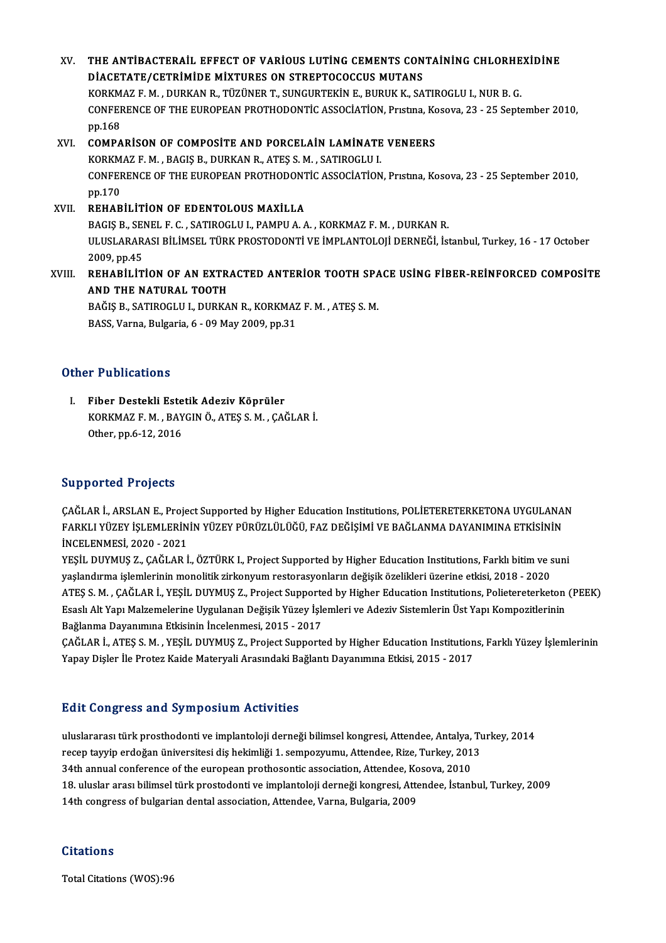XV. THE ANTİBACTERAİL EFFECT OF VARİOUS LUTİNG CEMENTS CONTAİNİNG CHLORHEXİDİNE DIACETATE/CETRIMIDE MIXTURES ON STREPTOCOCCUS MUTANS THE ANTIBACTERAIL EFFECT OF VARIOUS LUTING CEMENTS CONTAINING CHLORHE<br>DIACETATE/CETRIMIDE MIXTURES ON STREPTOCOCCUS MUTANS<br>KORKMAZ F. M. , DURKAN R., TÜZÜNER T., SUNGURTEKIN E., BURUK K., SATIROGLU I., NUR B. G.<br>CONEEPENCE CONFERENCE OF THE EUROPEAN PROTHODONTIC ASSOCIATION, Prıstına, Kosova, 23 - 25 September 2010,<br>pp.168 KORKM<br>CONFEF<br>pp.168<br>COMPA CONFERENCE OF THE EUROPEAN PROTHODONTIC ASSOCIATION, Pristina, Korp. 168<br>XVI. COMPARISON OF COMPOSITE AND PORCELAIN LAMINATE VENEERS<br>KORKMAZE M. PACIS P. DURKAN B. ATES S.M. SATIROCLUJ pp.168<br>COMPARISON OF COMPOSITE AND PORCELAIN LAMINATE<br>KORKMAZ F. M. , BAGIŞ B., DURKAN R., ATEŞ S. M. , SATIROGLU I.<br>CONEERENCE OF THE FUROREAN PROTHODONTIC ASSOCIATION CONFERENCE OF THE EUROPEAN PROTHODONTIC ASSOCIATION, Prıstına, Kosova, 23 - 25 September 2010,<br>pp.170 KORKMAZ F. M., BAGIS B., DURKAN R., ATES S. M., SATIROGLU I. XVII. REHABİLİTİON OF EDENTOLOUS MAXİLLA PP.170<br>**REHABİLİTİON OF EDENTOLOUS MAXİLLA**<br>BAGIŞ B., SENEL F. C. , SATIROGLU I., PAMPU A. A. , KORKMAZ F. M. , DURKAN R.<br>ULUSLARARLE PİLİMSEL TÜRK PROSTODONTİ VE İMPLANTOLOJİ DERNEĞİ, İst ULUSLARARASI BİLİMSEL TÜRK PROSTODONTİ VE İMPLANTOLOJİ DERNEĞİ, İstanbul, Turkey, 16 - 17 October<br>2009, pp.45 **BAGIŞ B., SEI<br>ULUSLARAR<br>2009, pp.45<br>PEHAPİLİT** ULUSLARARASI BİLİMSEL TÜRK PROSTODONTİ VE İMPLANTOLOJİ DERNEĞİ, İstanbul, Turkey, 16 - 17 October<br>2009, pp.45<br>XVIII. REHABİLİTİON OF AN EXTRACTED ANTERİOR TOOTH SPACE USİNG FİBER-REİNFORCED COMPOSİTE 2009, pp.45<br>REHABILITION OF AN EXTR.<br>AND THE NATURAL TOOTH<br>PAČIS P. SATIBOCLU L. DURKA REHABİLİTİON OF AN EXTRACTED ANTERİOR TOOTH SPA<br>AND THE NATURAL TOOTH<br>BAĞIŞ B., SATIROGLU I., DURKAN R., KORKMAZ F. M. , ATEŞ S. M.<br>BASS Verre Bulgaria 6, 00 May 2009 np 21 AND THE NATURAL TOOTH<br>BAĞIŞ B., SATIROGLU I., DURKAN R., KORKMAZ F. M. , ATEŞ S. M.<br>BASS, Varna, Bulgaria, 6 - 09 May 2009, pp.31

### Other Publications

I. Fiber Destekli Estetik Adeziv Köprüler r r abnoacions<br>Fiber Destekli Estetik Adeziv Köprüler<br>KORKMAZ F. M. , BAYGIN Ö., ATEŞ S. M. , ÇAĞLAR İ.<br>Otber nn 6 12 2016 Fiber Destekli Este<br>KORKMAZ F. M. , BAY<br>Other, pp.6-12, 2016 Other, pp.6-12, 2016<br>Supported Projects

CAĞLAR İ., ARSLAN E., Project Supported by Higher Education Institutions, POLİETERETERKETONA UYGULANAN SLPPSTECH TTOJOCES<br>ÇAĞLAR İ., ARSLAN E., Project Supported by Higher Education Institutions, POLİETERETERKETONA UYGULANAI<br>FARKLI YÜZEY İŞLEMLERİNİN YÜZEY PÜRÜZLÜLÜĞÜ, FAZ DEĞİŞİMİ VE BAĞLANMA DAYANIMINA ETKİSİNİN ÇAĞLAR İ., ARSLAN E., Proje<br>FARKLI YÜZEY İŞLEMLERİN<br>İNCELENMESİ, 2020 - 2021<br>YESİL DIYMUS 7. CAĞLAR İ FARKLI YÜZEY İŞLEMLERİNİN YÜZEY PÜRÜZLÜLÜĞÜ, FAZ DEĞİŞİMİ VE BAĞLANMA DAYANIMINA ETKİSİNİN<br>İNCELENMESİ, 2020 - 2021<br>YEŞİL DUYMUŞ Z., ÇAĞLAR İ., ÖZTÜRK I., Project Supported by Higher Education Institutions, Farklı bitim ve

İNCELENMESİ, 2020 - 2021<br>YEŞİL DUYMUŞ Z., ÇAĞLAR İ., ÖZTÜRK I., Project Supported by Higher Education Institutions, Farklı bitim ve suni<br>yaşlandırma işlemlerinin monolitik zirkonyum restorasyonların değişik özelikleri üzer YEŞİL DUYMUŞ Z., ÇAĞLAR İ., ÖZTÜRK I., Project Supported by Higher Education Institutions, Farklı bitim ve suni<br>yaşlandırma işlemlerinin monolitik zirkonyum restorasyonların değişik özelikleri üzerine etkisi, 2018 - 2020<br>A yaşlandırma işlemlerinin monolitik zirkonyum restorasyonların değişik özelikleri üzerine etkisi, 2018 - 2020<br>ATEŞ S. M. , ÇAĞLAR İ., YEŞİL DUYMUŞ Z., Project Supported by Higher Education Institutions, Polietereterketon<br>Es ATEŞ S. M. , ÇAĞLAR İ., YEŞİL DUYMUŞ Z., Project Supporte<br>Esaslı Alt Yapı Malzemelerine Uygulanan Değişik Yüzey İşle<br>Bağlanma Dayanımına Etkisinin İncelenmesi, 2015 - 2017<br>CAĞLAR İ. ATES S. M. YESİL DUYMUS Z. Project Suppo Esaslı Alt Yapı Malzemelerine Uygulanan Değişik Yüzey İşlemleri ve Adeziv Sistemlerin Üst Yapı Kompozitlerinin<br>Bağlanma Dayanımına Etkisinin İncelenmesi, 2015 - 2017<br>ÇAĞLAR İ., ATEŞ S. M. , YEŞİL DUYMUŞ Z., Project Support

Bağlanma Dayanımına Etkisinin İncelenmesi, 2015 - 2017<br>ÇAĞLAR İ., ATEŞ S. M. , YEŞİL DUYMUŞ Z., Project Supported by Higher Education Institution<br>Yapay Dişler İle Protez Kaide Materyali Arasındaki Bağlantı Dayanımına Etkis Yapay Dişler İle Protez Kaide Materyali Arasındaki Bağlantı Dayanımına Etkisi, 2015 - 2017<br>Edit Congress and Symposium Activities

uluslararası türk prosthodonti ve implantoloji derneği bilimsel kongresi, Attendee, Antalya, Turkey, 2014 recep tayyip erdoğan üniversitesi diş hekimliği derneği bilimsel kongresi, Attendee, Antalya, Turkey, 2013<br>recep tayyip erdoğan üniversitesi diş hekimliği 1. sempozyumu, Attendee, Rize, Turkey, 2013<br>24th annual senferanse uluslararası türk prosthodonti ve implantoloji derneği bilimsel kongresi, Attendee, Antalya,<br>recep tayyip erdoğan üniversitesi diş hekimliği 1. sempozyumu, Attendee, Rize, Turkey, 201<br>34th annual conference of the european 18. 34th annual conference of the european prothosontic association, Attendee, Kosova, 2010<br>18. uluslar arası bilimsel türk prostodonti ve implantoloji derneği kongresi, Attendee, İstanbul, Turkey, 2009 14th congress of bulgarian dental association, Attendee, Varna, Bulgaria, 2009

### **Citations**

Total Citations (WOS):96